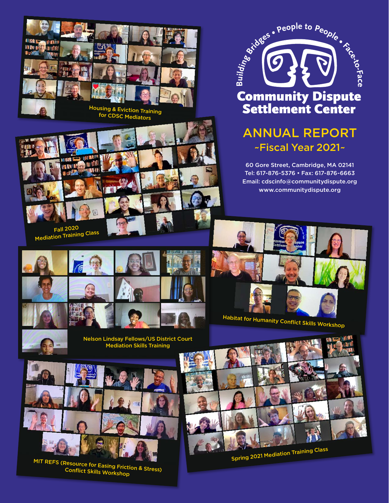



# ~Fiscal Year 2021~

60 Gore Street, Cambridge, MA 02141 Tel: 617-876-5376 • Fax: 617-876-6663 Email: cdscinfo@communitydispute.org www.communitydispute.org













MIT REFS (Resource for Easing Friction & Stress) Conflict Skills Workshop

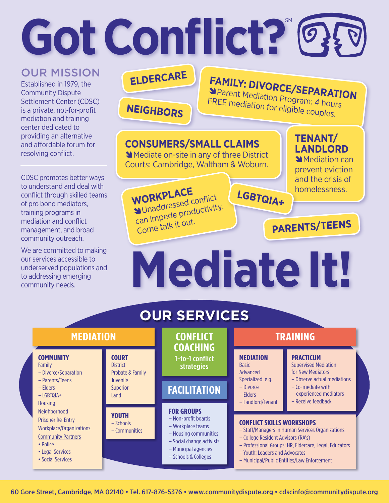Got Conflict?<sup>®</sup>

## OUR MISSION

Established in 1979, the Community Dispute Settlement Center (CDSC) is a private, not-for-profit mediation and training center dedicated to providing an alternative and affordable forum for resolving conflict.

CDSC promotes better ways to understand and deal with conflict through skilled teams of pro bono mediators, training programs in mediation and conflict management, and broad community outreach.

We are committed to making our services accessible to underserved populations and to addressing emerging community needs.

# **ELDERCARE**

**FAMILY: DIVORCE/SEPARATION** <sup>è</sup>Parent Mediation Program: 4 hours FREE mediation for eligible couples.

# **NEIGHBORS**

# **CONSUMERS/SMALL CLAIMS**

èMediate on-site in any of three District Courts: Cambridge, Waltham & Woburn.

### **TENANT/ LANDLORD**

**Mediation can** prevent eviction and the crisis of homelessness.

# **WORKPLACE**

Unaddressed conflict can impede productivity. Come talk it out.

# **LGBTQIA+**

**PARENTS/TEENS**

# **Mediate It!**

# **OUR SERVICES**

| <b>MEDIATION</b>                                                                                                                                                                                                                                                               |                                                                                                   | <b>CONFLICT</b><br><b>COACHING</b>                                                                                                                                  | <b>TRAINING</b>                                                                                                                                                                                                                                                       |                                                                                                                                                                           |  |
|--------------------------------------------------------------------------------------------------------------------------------------------------------------------------------------------------------------------------------------------------------------------------------|---------------------------------------------------------------------------------------------------|---------------------------------------------------------------------------------------------------------------------------------------------------------------------|-----------------------------------------------------------------------------------------------------------------------------------------------------------------------------------------------------------------------------------------------------------------------|---------------------------------------------------------------------------------------------------------------------------------------------------------------------------|--|
| <b>COMMUNITY</b><br>Family<br>- Divorce/Separation<br>- Parents/Teens<br>$-$ Elders<br>$-L$ GBTQIA+<br><b>Housing</b><br>Neighborhood<br><b>Prisoner Re-Entry</b><br>Workplace/Organizations<br><b>Community Partners</b><br>• Police<br>• Legal Services<br>• Social Services | <b>COURT</b><br><b>District</b><br>Probate & Family<br><b>Juvenile</b><br><b>Superior</b><br>Land | 1-to-1 conflict<br><b>strategies</b>                                                                                                                                | <b>MEDIATION</b><br><b>Basic</b><br>Advanced<br>Specialized, e.g.<br>$-$ Divorce<br>$-$ Elders<br>- Landlord/Tenant                                                                                                                                                   | <b>PRACTICUM</b><br><b>Supervised Mediation</b><br>for New Mediators<br>- Observe actual mediations<br>$-$ Co-mediate with<br>experienced mediators<br>- Receive feedback |  |
|                                                                                                                                                                                                                                                                                |                                                                                                   | <b>FACILITATION</b>                                                                                                                                                 |                                                                                                                                                                                                                                                                       |                                                                                                                                                                           |  |
|                                                                                                                                                                                                                                                                                | <b>YOUTH</b><br>$-$ Schools<br>- Communities                                                      | <b>FOR GROUPS</b><br>- Non-profit boards<br>- Workplace teams<br>- Housing communities<br>- Social change activists<br>- Municipal agencies<br>- Schools & Colleges | <b>CONFLICT SKILLS WORKSHOPS</b><br>- Staff/Managers in Human Services Organizations<br>- College Resident Advisors (RA's)<br>- Professional Groups: HR, Eldercare, Legal, Educators<br>- Youth: Leaders and Advocates<br>- Municipal/Public Entities/Law Enforcement |                                                                                                                                                                           |  |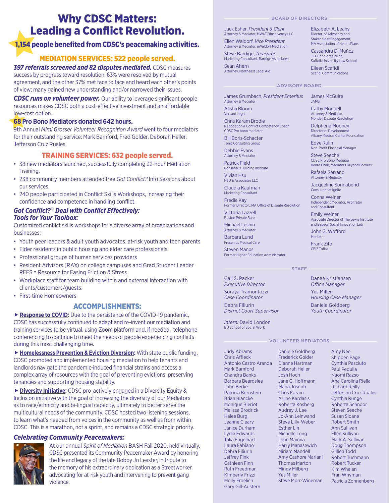# Why CDSC Matters: Leading a Conflict Revolution.

#### 1,154 people benefited from CDSC's peacemaking activities.

#### MEDIATION SERVICES: 522 people served.

*397 referrals screened and 82 disputes mediated.* CDSC measures success by progress toward resolution: 63% were resolved by mutual agreement, and the other 37% met face to face and heard each other's points of view; many gained new understanding and/or narrowed their issues.

**CDSC runs on volunteer power.** Our ability to leverage significant people resources makes CDSC both a cost-effective investment and an affordable low-cost option.

#### **68 Pro Bono Mediators donated 642 hours.**

9th Annual *Mimi Grosser Volunteer Recognition Award* went to four mediators for their outstanding service: Mark Bamford, Fred Golder, Deborah Heller, Jefferson Cruz Ruales.

#### TRAINING SERVICES: 632 people served.

- 38 new mediators launched, successfully completing 32-hour Mediation Training.
- 238 community members attended free *Got Conflict?* Info Sessions about our services.
- 240 people participated in Conflict Skills Workshops, increasing their confidence and competence in handling conflict.

#### *Got Conflict?*SM *Deal with Conflict Effectively: Tools for Your Toolbox:*

Customized conflict skills workshops for a diverse array of organizations and businesses:

- Youth peer leaders & adult youth advocates, at-risk youth and teen parents
- Elder residents in public housing and elder care professionals
- Professional groups of human services providers
- Resident Advisors (RA's) on college campuses and Grad Student Leader REFS = Resource for Easing Friction & Stress
- Workplace staff for team building within and external interaction with clients/customers/guests.
- First-time Homeowners

#### ACCOMPLISHMENTS:

**Response to COVID:** Due to the persistence of the COVID-19 pandemic, CDSC has successfully continued to adapt and re-invent our mediation and training services to be virtual, using Zoom platform and, if needed, telephone conferencing to continue to meet the needs of people experiencing conflicts during this most challenging time.

 **Homelessness Prevention & Eviction Diversion:** With state public funding, CDSC promoted and implemented housing mediation to help tenants and landlords navigate the pandemic-induced financial strains and access a complex array of resources with the goal of preventing evictions, preserving tenancies and supporting housing stability.

 **Diversity Initiative:** CDSC pro-actively engaged in a Diversity Equity & Inclusion initiative with the goal of increasing the diversity of our Mediators as to race/ethnicity and bi-lingual capacity, ultimately to better serve the multicultural needs of the community. CDSC hosted two listening sessions, to learn what's needed from voices in the community as well as from within CDSC. This is a marathon, not a sprint, and remains a CDSC strategic priority.

#### *Celebrating Community Peacemakers:*



At our annual *Spirit of Mediation* BASH Fall 2020, held virtually, CDSC presented its Community Peacemaker Award by honoring the life and legacy of the late Bobby Jo Leaster, in tribute to the memory of his extraordinary dedication as a Streetworker, advocating for at-risk youth and intervening to prevent gang violence.

#### BOARD OF DIRECTORS

Jack Esher, *President & Clerk* Attorney & Mediator, MWI/CBInsolvency LLC Ellen Waldorf, *Vice President*

Attorney & Mediator, eWaldorf Mediation Steve Bardige, *Treasurer* Marketing Consultant, Bardige Associates

Sean Ahern Attorney, Northeast Legal Aid Elizabeth A. Leahy Diector. of Advocacy and Stakeholder Engagement, MA Association of Health Plans

Cassandra D. Muñoz J.D. Candidate 2022, Suffolk University Law School

Eileen Scafidi Scafidi Communications

James McGuire JAMS

Cathy Mondell Attorney & Mediator, Mondell Dispute Resolution Delphene Mooney Director of Development Albany Medical Center Foundation

Edye Rulin Non-Profit Financial Manager Steve Seeche CDSC Pro Bono Mediator Board Chair, Mediators Beyond Borders

#### ADVISORY BOARD

James Grumbach, *President Emeritus* Attorney & Mediator

Alisha Bloom Versant Legal

Chris Karam Brodie Negotiation & Conflict Competency Coach CDSC Pro bono mediator

Bill Boris-Schacter Tonic Consulting Group

Debbie Evans Attorney & Mediator

Patrick Field Consensus Building Institute

Vivian Hsu HSU & Associates LLC

Claudia Kaufman Marketing Consultant

Fredie Kay Former Director, MA Office of Dispute Resolution

Victoria Lazzell Boston Private Bank

Michael Leshin Attorney & Mediator

Barbara Lund Fresenius Medical Care

Steven Manos Former Higher Education Administrator

Gail S. Packer *Executive Director* Soraya Tramontozzi

*Case Coordinator* Debra Filiurin *District Court Supervisor*

*Intern:* David London BU School of Social Work

VOLUNTEER MEDIATORS

Judy Abrams Chris Affleck Antonio Castro Aranda Mark Bamford Chandra Banks Barbara Beardslee John Berke Patricia Bernstein Brian Blancke Monique Bleriot Melissa Brodrick Halee Burg Jeanne Cleary Janice Durham Lydia Edwards Talia Engelhart Laura Fabiano Debra Filiurin Jeffrey Fink Cathleen Finn Ruth Freedman Kimberly Frizzi Molly Froelich Gary Gill-Austern

Daniele Goldberg Frederick Golder Dianne Hartman Deborah Heller Josh Hoch Jane C. Hoffmann Maria Joseph Chris Karam Arline Kardasis Roberta Kosberg Audrey J. Lee Jo-Ann Leinwand Steve Lilly-Weber Esther Lin Michelle Long John Maiona Harry Manasewich Miriam Mandell Amy Cashore Mariani Thomas Marton Mindy Milberg Yes Miller Steve Morr-Wineman

Shippen Page Cynthia Pasciuto Paul Pedulla Naomi Razso Ana Carolina Riella Richard Reilly Jefferson Cruz Ruales Cynthia Runge Roberta Schnoor Steven Seeche Susan Sloane Robert Smith Ann Sullivan Ellen Sullivan Mark A. Sullivan Doug Thompson Gillien Todd Robert Tuchmann Robert Tucker Kim Whelan Fran Whyman Patricia Zonnenberg

*Office Manager* Yes Miller *Housing Case Manager* Daniele Goldberg *Youth Coordinator*

Amy Nee

Danae Kristiansen

Rafaela Serrano Attorney & Mediator Jacqueline Sonnabend

Consultant at Ignite

Conna Weiner Independent Mediator, Arbitrator and Consultant

Emily Weiner Associate Director of The Lewis Institute and Babson Social Innovation Lab

John G. Wofford Mediator

Frank Zito

CBIZ Tofias

**STAFF**